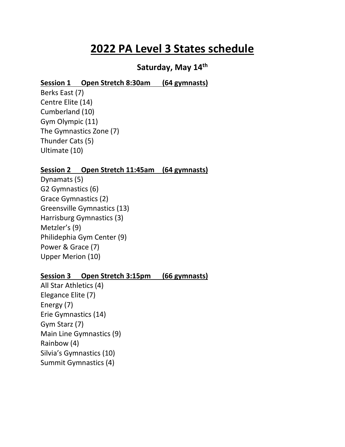# **2022 PA Level 3 States schedule**

## **Saturday, May 14th**

#### **Session 1 Open Stretch 8:30am (64 gymnasts)**

Berks East (7) Centre Elite (14) Cumberland (10) Gym Olympic (11) The Gymnastics Zone (7) Thunder Cats (5) Ultimate (10)

#### **Session 2 Open Stretch 11:45am (64 gymnasts)**

Dynamats (5) G2 Gymnastics (6) Grace Gymnastics (2) Greensville Gymnastics (13) Harrisburg Gymnastics (3) Metzler's (9) Philidephia Gym Center (9) Power & Grace (7) Upper Merion (10)

#### **Session 3 Open Stretch 3:15pm (66 gymnasts)**

All Star Athletics (4) Elegance Elite (7) Energy (7) Erie Gymnastics (14) Gym Starz (7) Main Line Gymnastics (9) Rainbow (4) Silvia's Gymnastics (10) Summit Gymnastics (4)